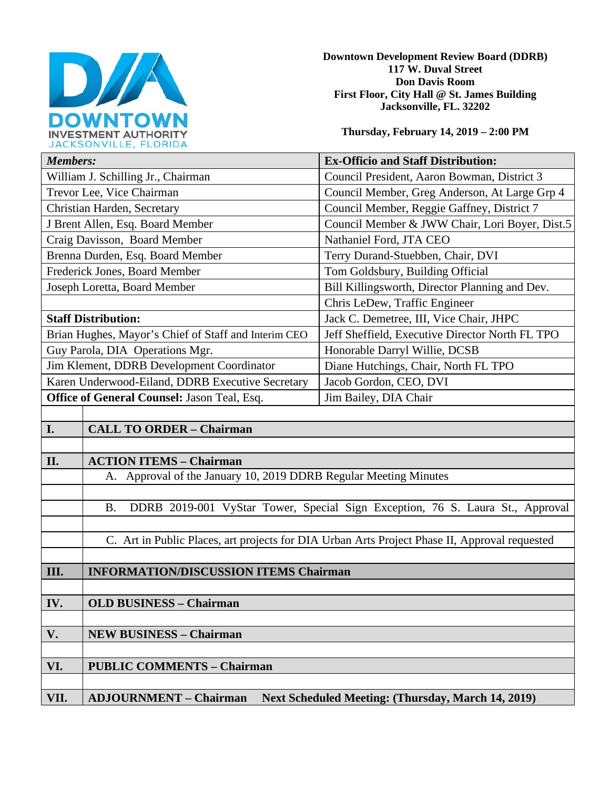

**Downtown Development Review Board (DDRB) 117 W. Duval Street Don Davis Room First Floor, City Hall @ St. James Building Jacksonville, FL. 32202** 

**Thursday, February 14, 2019 – 2:00 PM**

| JACRJUNVILLE, FLUNIDA                                |                                                                                               |                                                 |
|------------------------------------------------------|-----------------------------------------------------------------------------------------------|-------------------------------------------------|
| <b>Members:</b>                                      |                                                                                               | <b>Ex-Officio and Staff Distribution:</b>       |
| William J. Schilling Jr., Chairman                   |                                                                                               | Council President, Aaron Bowman, District 3     |
| Trevor Lee, Vice Chairman                            |                                                                                               | Council Member, Greg Anderson, At Large Grp 4   |
| Christian Harden, Secretary                          |                                                                                               | Council Member, Reggie Gaffney, District 7      |
| J Brent Allen, Esq. Board Member                     |                                                                                               | Council Member & JWW Chair, Lori Boyer, Dist.5  |
| Craig Davisson, Board Member                         |                                                                                               | Nathaniel Ford, JTA CEO                         |
| Brenna Durden, Esq. Board Member                     |                                                                                               | Terry Durand-Stuebben, Chair, DVI               |
| Frederick Jones, Board Member                        |                                                                                               | Tom Goldsbury, Building Official                |
| Joseph Loretta, Board Member                         |                                                                                               | Bill Killingsworth, Director Planning and Dev.  |
|                                                      |                                                                                               | Chris LeDew, Traffic Engineer                   |
| <b>Staff Distribution:</b>                           |                                                                                               | Jack C. Demetree, III, Vice Chair, JHPC         |
| Brian Hughes, Mayor's Chief of Staff and Interim CEO |                                                                                               | Jeff Sheffield, Executive Director North FL TPO |
| Guy Parola, DIA Operations Mgr.                      |                                                                                               | Honorable Darryl Willie, DCSB                   |
| Jim Klement, DDRB Development Coordinator            |                                                                                               | Diane Hutchings, Chair, North FL TPO            |
| Karen Underwood-Eiland, DDRB Executive Secretary     |                                                                                               | Jacob Gordon, CEO, DVI                          |
| Office of General Counsel: Jason Teal, Esq.          |                                                                                               | Jim Bailey, DIA Chair                           |
|                                                      |                                                                                               |                                                 |
| I.                                                   | <b>CALL TO ORDER - Chairman</b>                                                               |                                                 |
|                                                      |                                                                                               |                                                 |
| II.                                                  | <b>ACTION ITEMS - Chairman</b>                                                                |                                                 |
|                                                      | A. Approval of the January 10, 2019 DDRB Regular Meeting Minutes                              |                                                 |
|                                                      |                                                                                               |                                                 |
|                                                      | DDRB 2019-001 VyStar Tower, Special Sign Exception, 76 S. Laura St., Approval<br><b>B.</b>    |                                                 |
|                                                      |                                                                                               |                                                 |
|                                                      | C. Art in Public Places, art projects for DIA Urban Arts Project Phase II, Approval requested |                                                 |
|                                                      |                                                                                               |                                                 |
| III.                                                 | <b>INFORMATION/DISCUSSION ITEMS Chairman</b>                                                  |                                                 |
|                                                      |                                                                                               |                                                 |

**IV. OLD BUSINESS – Chairman** 

**V. NEW BUSINESS – Chairman** 

**VI. PUBLIC COMMENTS – Chairman** 

**VII. ADJOURNMENT – Chairman Next Scheduled Meeting: (Thursday, March 14, 2019)**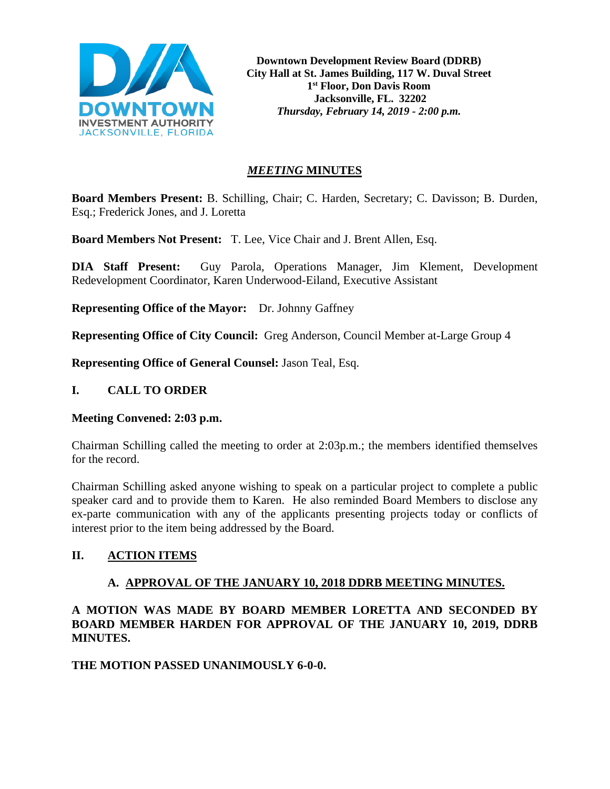

**Downtown Development Review Board (DDRB) City Hall at St. James Building, 117 W. Duval Street 1st Floor, Don Davis Room Jacksonville, FL. 32202** *Thursday, February 14, 2019 - 2:00 p.m.*

# *MEETING* **MINUTES**

**Board Members Present:** B. Schilling, Chair; C. Harden, Secretary; C. Davisson; B. Durden, Esq.; Frederick Jones, and J. Loretta

**Board Members Not Present:** T. Lee, Vice Chair and J. Brent Allen, Esq.

**DIA Staff Present:** Guy Parola, Operations Manager, Jim Klement, Development Redevelopment Coordinator, Karen Underwood-Eiland, Executive Assistant

**Representing Office of the Mayor:** Dr. Johnny Gaffney

**Representing Office of City Council:** Greg Anderson, Council Member at-Large Group 4

**Representing Office of General Counsel:** Jason Teal, Esq.

#### **I. CALL TO ORDER**

#### **Meeting Convened: 2:03 p.m.**

Chairman Schilling called the meeting to order at 2:03p.m.; the members identified themselves for the record.

Chairman Schilling asked anyone wishing to speak on a particular project to complete a public speaker card and to provide them to Karen. He also reminded Board Members to disclose any ex-parte communication with any of the applicants presenting projects today or conflicts of interest prior to the item being addressed by the Board.

### **II. ACTION ITEMS**

### **A. APPROVAL OF THE JANUARY 10, 2018 DDRB MEETING MINUTES.**

# **A MOTION WAS MADE BY BOARD MEMBER LORETTA AND SECONDED BY BOARD MEMBER HARDEN FOR APPROVAL OF THE JANUARY 10, 2019, DDRB MINUTES.**

### **THE MOTION PASSED UNANIMOUSLY 6-0-0.**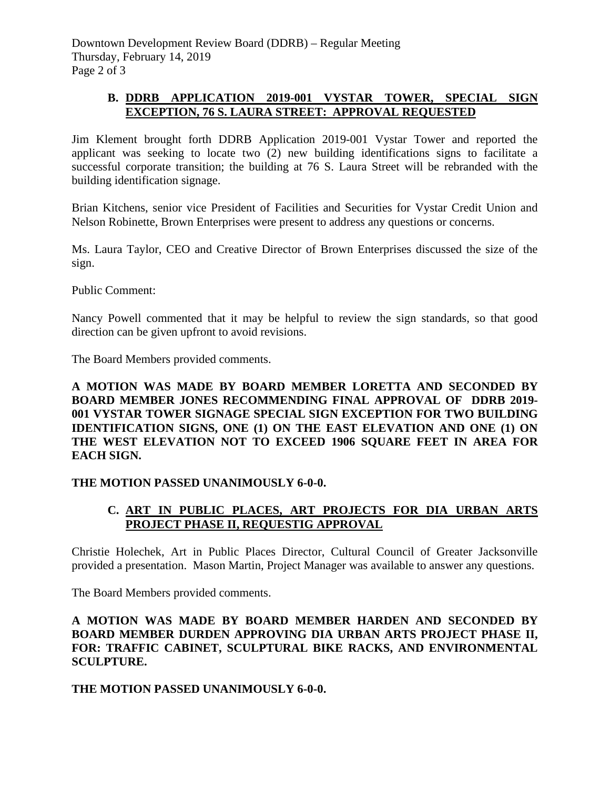# **B. DDRB APPLICATION 2019-001 VYSTAR TOWER, SPECIAL SIGN EXCEPTION, 76 S. LAURA STREET: APPROVAL REQUESTED**

Jim Klement brought forth DDRB Application 2019-001 Vystar Tower and reported the applicant was seeking to locate two (2) new building identifications signs to facilitate a successful corporate transition; the building at 76 S. Laura Street will be rebranded with the building identification signage.

Brian Kitchens, senior vice President of Facilities and Securities for Vystar Credit Union and Nelson Robinette, Brown Enterprises were present to address any questions or concerns.

Ms. Laura Taylor, CEO and Creative Director of Brown Enterprises discussed the size of the sign.

Public Comment:

Nancy Powell commented that it may be helpful to review the sign standards, so that good direction can be given upfront to avoid revisions.

The Board Members provided comments.

### **A MOTION WAS MADE BY BOARD MEMBER LORETTA AND SECONDED BY BOARD MEMBER JONES RECOMMENDING FINAL APPROVAL OF DDRB 2019- 001 VYSTAR TOWER SIGNAGE SPECIAL SIGN EXCEPTION FOR TWO BUILDING IDENTIFICATION SIGNS, ONE (1) ON THE EAST ELEVATION AND ONE (1) ON THE WEST ELEVATION NOT TO EXCEED 1906 SQUARE FEET IN AREA FOR EACH SIGN.**

### **THE MOTION PASSED UNANIMOUSLY 6-0-0.**

# **C. ART IN PUBLIC PLACES, ART PROJECTS FOR DIA URBAN ARTS PROJECT PHASE II, REQUESTIG APPROVAL**

Christie Holechek, Art in Public Places Director, Cultural Council of Greater Jacksonville provided a presentation. Mason Martin, Project Manager was available to answer any questions.

The Board Members provided comments.

#### **A MOTION WAS MADE BY BOARD MEMBER HARDEN AND SECONDED BY BOARD MEMBER DURDEN APPROVING DIA URBAN ARTS PROJECT PHASE II, FOR: TRAFFIC CABINET, SCULPTURAL BIKE RACKS, AND ENVIRONMENTAL SCULPTURE.**

### **THE MOTION PASSED UNANIMOUSLY 6-0-0.**